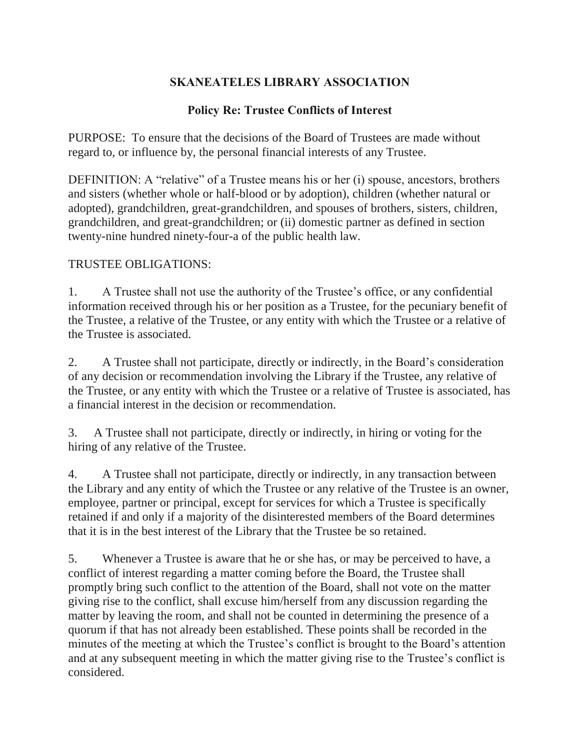## **SKANEATELES LIBRARY ASSOCIATION**

## **Policy Re: Trustee Conflicts of Interest**

PURPOSE: To ensure that the decisions of the Board of Trustees are made without regard to, or influence by, the personal financial interests of any Trustee.

DEFINITION: A "relative" of a Trustee means his or her (i) spouse, ancestors, brothers and sisters (whether whole or half-blood or by adoption), children (whether natural or adopted), grandchildren, great-grandchildren, and spouses of brothers, sisters, children, grandchildren, and great-grandchildren; or (ii) domestic partner as defined in section twenty-nine hundred ninety-four-a of the public health law.

## TRUSTEE OBLIGATIONS:

1. A Trustee shall not use the authority of the Trustee's office, or any confidential information received through his or her position as a Trustee, for the pecuniary benefit of the Trustee, a relative of the Trustee, or any entity with which the Trustee or a relative of the Trustee is associated.

2. A Trustee shall not participate, directly or indirectly, in the Board's consideration of any decision or recommendation involving the Library if the Trustee, any relative of the Trustee, or any entity with which the Trustee or a relative of Trustee is associated, has a financial interest in the decision or recommendation.

3. A Trustee shall not participate, directly or indirectly, in hiring or voting for the hiring of any relative of the Trustee.

4. A Trustee shall not participate, directly or indirectly, in any transaction between the Library and any entity of which the Trustee or any relative of the Trustee is an owner, employee, partner or principal, except for services for which a Trustee is specifically retained if and only if a majority of the disinterested members of the Board determines that it is in the best interest of the Library that the Trustee be so retained.

5. Whenever a Trustee is aware that he or she has, or may be perceived to have, a conflict of interest regarding a matter coming before the Board, the Trustee shall promptly bring such conflict to the attention of the Board, shall not vote on the matter giving rise to the conflict, shall excuse him/herself from any discussion regarding the matter by leaving the room, and shall not be counted in determining the presence of a quorum if that has not already been established. These points shall be recorded in the minutes of the meeting at which the Trustee's conflict is brought to the Board's attention and at any subsequent meeting in which the matter giving rise to the Trustee's conflict is considered.